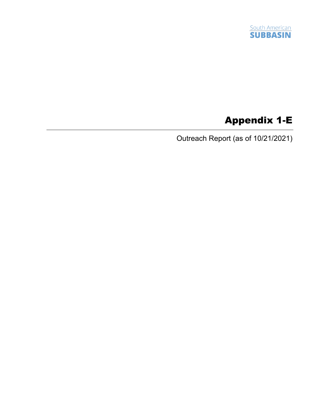

## Appendix 1-E

Outreach Report (as of 10/21/2021)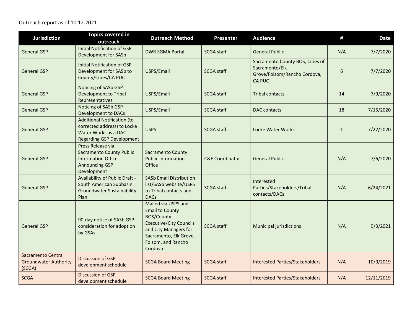## Outreach report as of 10.12.2021

| <b>Jurisdiction</b>                                                 | <b>Topics covered in</b><br>outreach                                                                                          | <b>Outreach Method</b>                                                                                                                                                                   | Presenter                  | <b>Audience</b>                                                                                     | #            | <b>Date</b> |
|---------------------------------------------------------------------|-------------------------------------------------------------------------------------------------------------------------------|------------------------------------------------------------------------------------------------------------------------------------------------------------------------------------------|----------------------------|-----------------------------------------------------------------------------------------------------|--------------|-------------|
| <b>General GSP</b>                                                  | <b>Initial Notification of GSP</b><br><b>Development for SASb</b>                                                             | <b>DWR SGMA Portal</b>                                                                                                                                                                   | <b>SCGA staff</b>          | <b>General Public</b>                                                                               | N/A          | 7/7/2020    |
| <b>General GSP</b>                                                  | <b>Initial Notification of GSP</b><br>Development for SASb to<br>County/Cities/CA PUC                                         | USPS/Email                                                                                                                                                                               | <b>SCGA staff</b>          | Sacramento County BOS, Cities of<br>Sacramento/Elk<br>Grove/Folsom/Rancho Cordova,<br><b>CA PUC</b> | 6            | 7/7/2020    |
| <b>General GSP</b>                                                  | Noticing of SASb GSP<br><b>Development to Tribal</b><br>Representatives                                                       | USPS/Email                                                                                                                                                                               | <b>SCGA staff</b>          | <b>Tribal contacts</b>                                                                              | 14           | 7/9/2020    |
| <b>General GSP</b>                                                  | Noticing of SASb GSP<br><b>Development to DACs</b>                                                                            | USPS/Email                                                                                                                                                                               | <b>SCGA staff</b>          | <b>DAC</b> contacts                                                                                 | 18           | 7/15/2020   |
| <b>General GSP</b>                                                  | <b>Additional Notification (to</b><br>corrected address) to Locke<br>Water Works as a DAC<br><b>Regarding GSP Development</b> | <b>USPS</b>                                                                                                                                                                              | <b>SCGA staff</b>          | <b>Locke Water Works</b>                                                                            | $\mathbf{1}$ | 7/22/2020   |
| <b>General GSP</b>                                                  | Press Release via<br><b>Sacramento County Public</b><br><b>Information Office</b><br><b>Announcing GSP</b><br>Development     | Sacramento County<br><b>Public Information</b><br>Office                                                                                                                                 | <b>C&amp;E Coordinator</b> | <b>General Public</b>                                                                               | N/A          | 7/6/2020    |
| <b>General GSP</b>                                                  | Availability of Public Draft -<br>South American Subbasin<br><b>Groundwater Sustainability</b><br>Plan                        | <b>SASb Email Distribution</b><br>list/SASb website/USPS<br>to Tribal contacts and<br><b>DACs</b>                                                                                        | <b>SCGA staff</b>          | Interested<br>Parties/Stakeholders/Tribal<br>contacts/DACs                                          | N/A          | 6/24/2021   |
| <b>General GSP</b>                                                  | 90-day notice of SASb GSP<br>consideration for adoption<br>by GSAs                                                            | Mailed via USPS and<br><b>Email to County</b><br><b>BOS/County</b><br><b>Executive/City Councils</b><br>and City Managers for<br>Sacramento, Elk Grove,<br>Folsom, and Rancho<br>Cordova | <b>SCGA staff</b>          | <b>Municipal jurisdictions</b>                                                                      | N/A          | 9/3/2021    |
| <b>Sacramento Central</b><br><b>Groundwater Authority</b><br>(SCGA) | <b>Discussion of GSP</b><br>development schedule                                                                              | <b>SCGA Board Meeting</b>                                                                                                                                                                | <b>SCGA staff</b>          | <b>Interested Parties/Stakeholders</b>                                                              | N/A          | 10/9/2019   |
| <b>SCGA</b>                                                         | <b>Discussion of GSP</b><br>development schedule                                                                              | <b>SCGA Board Meeting</b>                                                                                                                                                                | <b>SCGA staff</b>          | <b>Interested Parties/Stakeholders</b>                                                              | N/A          | 12/11/2019  |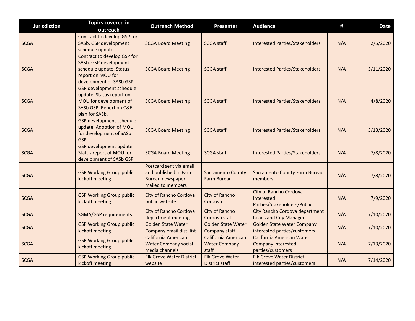| <b>Jurisdiction</b> | <b>Topics covered in</b><br>outreach                                                                                             | <b>Outreach Method</b>                                                                    | Presenter                                            | <b>Audience</b>                                                            | #   | <b>Date</b> |
|---------------------|----------------------------------------------------------------------------------------------------------------------------------|-------------------------------------------------------------------------------------------|------------------------------------------------------|----------------------------------------------------------------------------|-----|-------------|
| <b>SCGA</b>         | Contract to develop GSP for<br>SASb. GSP development<br>schedule update                                                          | <b>SCGA Board Meeting</b>                                                                 | <b>SCGA staff</b>                                    | <b>Interested Parties/Stakeholders</b>                                     | N/A | 2/5/2020    |
| <b>SCGA</b>         | Contract to develop GSP for<br>SASb. GSP development<br>schedule update. Status<br>report on MOU for<br>development of SASb GSP. | <b>SCGA Board Meeting</b>                                                                 | <b>SCGA staff</b>                                    | <b>Interested Parties/Stakeholders</b>                                     | N/A | 3/11/2020   |
| <b>SCGA</b>         | GSP development schedule<br>update. Status report on<br>MOU for development of<br>SASb GSP. Report on C&E<br>plan for SASb.      | <b>SCGA Board Meeting</b>                                                                 | <b>SCGA staff</b>                                    | <b>Interested Parties/Stakeholders</b>                                     | N/A | 4/8/2020    |
| <b>SCGA</b>         | GSP development schedule<br>update. Adoption of MOU<br>for development of SASb<br>GSP.                                           | <b>SCGA Board Meeting</b>                                                                 | <b>SCGA staff</b>                                    | <b>Interested Parties/Stakeholders</b>                                     | N/A | 5/13/2020   |
| <b>SCGA</b>         | GSP development update.<br>Status report of MOU for<br>development of SASb GSP.                                                  | <b>SCGA Board Meeting</b>                                                                 | <b>SCGA staff</b>                                    | <b>Interested Parties/Stakeholders</b>                                     | N/A | 7/8/2020    |
| <b>SCGA</b>         | <b>GSP Working Group public</b><br>kickoff meeting                                                                               | Postcard sent via email<br>and published in Farm<br>Bureau newspaper<br>mailed to members | <b>Sacramento County</b><br><b>Farm Bureau</b>       | Sacramento County Farm Bureau<br>members                                   | N/A | 7/8/2020    |
| <b>SCGA</b>         | <b>GSP Working Group public</b><br>kickoff meeting                                                                               | City of Rancho Cordova<br>public website                                                  | City of Rancho<br>Cordova                            | <b>City of Rancho Cordova</b><br>Interested<br>Parties/Stakeholders/Public | N/A | 7/9/2020    |
| <b>SCGA</b>         | <b>SGMA/GSP requirements</b>                                                                                                     | City of Rancho Cordova<br>department meeting                                              | City of Rancho<br>Cordova staff                      | City Rancho Cordova department<br>heads and City Manager                   | N/A | 7/10/2020   |
| <b>SCGA</b>         | <b>GSP Working Group public</b><br>kickoff meeting                                                                               | <b>Golden State Water</b><br>Company email dist. list                                     | <b>Golden State Water</b><br>Company staff           | <b>Golden State Water Company</b><br>interested parties/customers          | N/A | 7/10/2020   |
| <b>SCGA</b>         | <b>GSP Working Group public</b><br>kickoff meeting                                                                               | <b>California American</b><br><b>Water Company social</b><br>media channels               | California American<br><b>Water Company</b><br>staff | California American Water<br>Company interested<br>parties/customers       | N/A | 7/13/2020   |
| <b>SCGA</b>         | <b>GSP Working Group public</b><br>kickoff meeting                                                                               | <b>Elk Grove Water District</b><br>website                                                | <b>Elk Grove Water</b><br>District staff             | <b>Elk Grove Water District</b><br>interested parties/customers            | N/A | 7/14/2020   |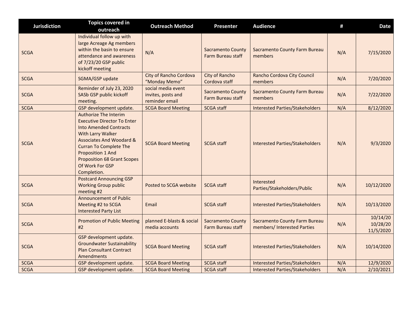| <b>Jurisdiction</b> | <b>Topics covered in</b><br>outreach                                                                                                                                                                                                                                                          | <b>Outreach Method</b>                                     | Presenter                                     | <b>Audience</b>                                              | #   | <b>Date</b>                       |
|---------------------|-----------------------------------------------------------------------------------------------------------------------------------------------------------------------------------------------------------------------------------------------------------------------------------------------|------------------------------------------------------------|-----------------------------------------------|--------------------------------------------------------------|-----|-----------------------------------|
| <b>SCGA</b>         | Individual follow up with<br>large Acreage Ag members<br>within the basin to ensure<br>attendance and awareness<br>of 7/23/20 GSP public<br>kickoff meeting                                                                                                                                   | N/A                                                        | <b>Sacramento County</b><br>Farm Bureau staff | Sacramento County Farm Bureau<br>members                     | N/A | 7/15/2020                         |
| <b>SCGA</b>         | SGMA/GSP update                                                                                                                                                                                                                                                                               | City of Rancho Cordova<br>"Monday Memo"                    | City of Rancho<br>Cordova staff               | Rancho Cordova City Council<br>members                       | N/A | 7/20/2020                         |
| <b>SCGA</b>         | Reminder of July 23, 2020<br>SASb GSP public kickoff<br>meeting.                                                                                                                                                                                                                              | social media event<br>invites, posts and<br>reminder email | Sacramento County<br>Farm Bureau staff        | Sacramento County Farm Bureau<br>members                     | N/A | 7/22/2020                         |
| <b>SCGA</b>         | GSP development update.                                                                                                                                                                                                                                                                       | <b>SCGA Board Meeting</b>                                  | <b>SCGA staff</b>                             | <b>Interested Parties/Stakeholders</b>                       | N/A | 8/12/2020                         |
| <b>SCGA</b>         | <b>Authorize The Interim</b><br><b>Executive Director To Enter</b><br><b>Into Amended Contracts</b><br>With Larry Walker<br><b>Associates And Woodard &amp;</b><br><b>Curran To Complete The</b><br>Proposition 1 And<br><b>Proposition 68 Grant Scopes</b><br>Of Work For GSP<br>Completion. | <b>SCGA Board Meeting</b>                                  | <b>SCGA staff</b>                             | <b>Interested Parties/Stakeholders</b>                       | N/A | 9/3/2020                          |
| <b>SCGA</b>         | <b>Postcard Announcing GSP</b><br><b>Working Group public</b><br>meeting #2                                                                                                                                                                                                                   | Posted to SCGA website                                     | <b>SCGA staff</b>                             | Interested<br>Parties/Stakeholders/Public                    | N/A | 10/12/2020                        |
| <b>SCGA</b>         | <b>Announcement of Public</b><br>Meeting #2 to SCGA<br><b>Interested Party List</b>                                                                                                                                                                                                           | Email                                                      | <b>SCGA staff</b>                             | <b>Interested Parties/Stakeholders</b>                       | N/A | 10/13/2020                        |
| <b>SCGA</b>         | <b>Promotion of Public Meeting</b><br>#2                                                                                                                                                                                                                                                      | planned E-blasts & social<br>media accounts                | <b>Sacramento County</b><br>Farm Bureau staff | Sacramento County Farm Bureau<br>members/ Interested Parties | N/A | 10/14/20<br>10/28/20<br>11/5/2020 |
| <b>SCGA</b>         | GSP development update.<br><b>Groundwater Sustainability</b><br><b>Plan Consultant Contract</b><br><b>Amendments</b>                                                                                                                                                                          | <b>SCGA Board Meeting</b>                                  | <b>SCGA staff</b>                             | <b>Interested Parties/Stakeholders</b>                       | N/A | 10/14/2020                        |
| <b>SCGA</b>         | GSP development update.                                                                                                                                                                                                                                                                       | <b>SCGA Board Meeting</b>                                  | <b>SCGA staff</b>                             | <b>Interested Parties/Stakeholders</b>                       | N/A | 12/9/2020                         |
| <b>SCGA</b>         | GSP development update.                                                                                                                                                                                                                                                                       | <b>SCGA Board Meeting</b>                                  | <b>SCGA staff</b>                             | <b>Interested Parties/Stakeholders</b>                       | N/A | 2/10/2021                         |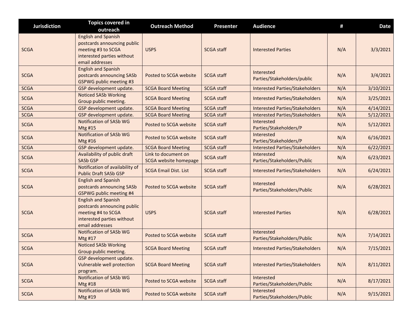| <b>Jurisdiction</b> | <b>Topics covered in</b><br>outreach                                                                                             | <b>Outreach Method</b>                       | Presenter         | <b>Audience</b>                           | #   | <b>Date</b> |
|---------------------|----------------------------------------------------------------------------------------------------------------------------------|----------------------------------------------|-------------------|-------------------------------------------|-----|-------------|
| <b>SCGA</b>         | <b>English and Spanish</b><br>postcards announcing public<br>meeting #3 to SCGA<br>interested parties without<br>email addresses | <b>USPS</b>                                  | <b>SCGA staff</b> | <b>Interested Parties</b>                 | N/A | 3/3/2021    |
| <b>SCGA</b>         | <b>English and Spanish</b><br>postcards announcing SASb<br><b>GSPWG public meeting #3</b>                                        | Posted to SCGA website                       | <b>SCGA staff</b> | Interested<br>Parties/Stakeholders/public | N/A | 3/4/2021    |
| <b>SCGA</b>         | GSP development update.                                                                                                          | <b>SCGA Board Meeting</b>                    | <b>SCGA staff</b> | <b>Interested Parties/Stakeholders</b>    | N/A | 3/10/2021   |
| <b>SCGA</b>         | <b>Noticed SASb Working</b><br>Group public meeting.                                                                             | <b>SCGA Board Meeting</b>                    | <b>SCGA staff</b> | <b>Interested Parties/Stakeholders</b>    | N/A | 3/25/2021   |
| <b>SCGA</b>         | GSP development update.                                                                                                          | <b>SCGA Board Meeting</b>                    | <b>SCGA staff</b> | <b>Interested Parties/Stakeholders</b>    | N/A | 4/14/2021   |
| <b>SCGA</b>         | GSP development update.                                                                                                          | <b>SCGA Board Meeting</b>                    | <b>SCGA staff</b> | <b>Interested Parties/Stakeholders</b>    | N/A | 5/12/2021   |
| <b>SCGA</b>         | <b>Notification of SASb WG</b><br>Mtg #15                                                                                        | Posted to SCGA website                       | <b>SCGA staff</b> | Interested<br>Parties/Stakeholders/P      | N/A | 5/12/2021   |
| <b>SCGA</b>         | Notification of SASb WG<br>Mtg #16                                                                                               | Posted to SCGA website                       | <b>SCGA staff</b> | Interested<br>Parties/Stakeholders/P      | N/A | 6/16/2021   |
| <b>SCGA</b>         | GSP development update.                                                                                                          | <b>SCGA Board Meeting</b>                    | <b>SCGA staff</b> | <b>Interested Parties/Stakeholders</b>    | N/A | 6/22/2021   |
| <b>SCGA</b>         | Availability of public draft<br><b>SASb GSP</b>                                                                                  | Link to document on<br>SCGA website homepage | <b>SCGA staff</b> | Interested<br>Parties/Stakeholders/Public | N/A | 6/23/2021   |
| <b>SCGA</b>         | Notification of availability of<br><b>Public Draft SASb GSP</b>                                                                  | <b>SCGA Email Dist. List</b>                 | <b>SCGA staff</b> | <b>Interested Parties/Stakeholders</b>    | N/A | 6/24/2021   |
| <b>SCGA</b>         | <b>English and Spanish</b><br>postcards announcing SASb<br><b>GSPWG public meeting #4</b>                                        | Posted to SCGA website                       | <b>SCGA staff</b> | Interested<br>Parties/Stakeholders/Public | N/A | 6/28/2021   |
| <b>SCGA</b>         | <b>English and Spanish</b><br>postcards announcing public<br>meeting #4 to SCGA<br>interested parties without<br>email addresses | <b>USPS</b>                                  | <b>SCGA staff</b> | <b>Interested Parties</b>                 | N/A | 6/28/2021   |
| <b>SCGA</b>         | Notification of SASb WG<br>Mtg #17                                                                                               | Posted to SCGA website                       | <b>SCGA staff</b> | Interested<br>Parties/Stakeholders/Public | N/A | 7/14/2021   |
| <b>SCGA</b>         | <b>Noticed SASb Working</b><br>Group public meeting.                                                                             | <b>SCGA Board Meeting</b>                    | <b>SCGA staff</b> | <b>Interested Parties/Stakeholders</b>    | N/A | 7/15/2021   |
| <b>SCGA</b>         | GSP development update.<br>Vulnerable well protection<br>program.                                                                | <b>SCGA Board Meeting</b>                    | <b>SCGA staff</b> | <b>Interested Parties/Stakeholders</b>    | N/A | 8/11/2021   |
| <b>SCGA</b>         | Notification of SASb WG<br>Mtg #18                                                                                               | Posted to SCGA website                       | <b>SCGA staff</b> | Interested<br>Parties/Stakeholders/Public | N/A | 8/17/2021   |
| <b>SCGA</b>         | Notification of SASb WG<br>Mtg #19                                                                                               | Posted to SCGA website                       | <b>SCGA staff</b> | Interested<br>Parties/Stakeholders/Public | N/A | 9/15/2021   |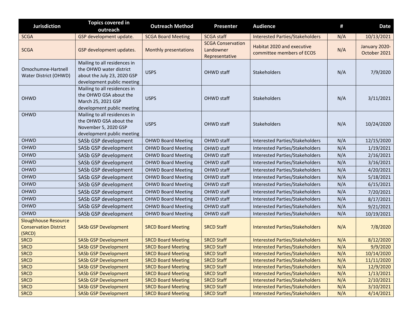| <b>Jurisdiction</b>                                                   | <b>Topics covered in</b><br>outreach                                                                                 | <b>Outreach Method</b>       | <b>Presenter</b>                                        | <b>Audience</b>                                         | #   | <b>Date</b>                   |
|-----------------------------------------------------------------------|----------------------------------------------------------------------------------------------------------------------|------------------------------|---------------------------------------------------------|---------------------------------------------------------|-----|-------------------------------|
| <b>SCGA</b>                                                           | GSP development update.                                                                                              | <b>SCGA Board Meeting</b>    | <b>SCGA staff</b>                                       | <b>Interested Parties/Stakeholders</b>                  | N/A | 10/13/2021                    |
| <b>SCGA</b>                                                           | GSP development updates.                                                                                             | <b>Monthly presentations</b> | <b>SCGA Conservation</b><br>Landowner<br>Representative | Habitat 2020 and executive<br>committee members of ECOS | N/A | January 2020-<br>October 2021 |
| Omochumne-Hartnell<br>Water District (OHWD)                           | Mailing to all residences in<br>the OHWD water district<br>about the July 23, 2020 GSP<br>development public meeting | <b>USPS</b>                  | OHWD staff                                              | Stakeholders                                            | N/A | 7/9/2020                      |
| OHWD                                                                  | Mailing to all residences in<br>the OHWD GSA about the<br>March 25, 2021 GSP<br>development public meeting           | <b>USPS</b>                  | OHWD staff                                              | Stakeholders                                            | N/A | 3/11/2021                     |
| OHWD                                                                  | Mailing to all residences in<br>the OHWD GSA about the<br>November 5, 2020 GSP<br>development public meeting         | <b>USPS</b>                  | OHWD staff                                              | Stakeholders                                            | N/A | 10/24/2020                    |
| OHWD                                                                  | SASb GSP development                                                                                                 | <b>OHWD Board Meeting</b>    | OHWD staff                                              | Interested Parties/Stakeholders                         | N/A | 12/15/2020                    |
| OHWD                                                                  | SASb GSP development                                                                                                 | <b>OHWD Board Meeting</b>    | OHWD staff                                              | <b>Interested Parties/Stakeholders</b>                  | N/A | 1/19/2021                     |
| OHWD                                                                  | SASb GSP development                                                                                                 | <b>OHWD Board Meeting</b>    | OHWD staff                                              | Interested Parties/Stakeholders                         | N/A | 2/16/2021                     |
| OHWD                                                                  | SASb GSP development                                                                                                 | <b>OHWD Board Meeting</b>    | OHWD staff                                              | <b>Interested Parties/Stakeholders</b>                  | N/A | 3/16/2021                     |
| OHWD                                                                  | SASb GSP development                                                                                                 | <b>OHWD Board Meeting</b>    | OHWD staff                                              | Interested Parties/Stakeholders                         | N/A | 4/20/2021                     |
| OHWD                                                                  | SASb GSP development                                                                                                 | <b>OHWD Board Meeting</b>    | OHWD staff                                              | Interested Parties/Stakeholders                         | N/A | 5/18/2021                     |
| OHWD                                                                  | SASb GSP development                                                                                                 | <b>OHWD Board Meeting</b>    | OHWD staff                                              | Interested Parties/Stakeholders                         | N/A | 6/15/2021                     |
| <b>OHWD</b>                                                           | SASb GSP development                                                                                                 | <b>OHWD Board Meeting</b>    | OHWD staff                                              | Interested Parties/Stakeholders                         | N/A | 7/20/2021                     |
| OHWD                                                                  | SASb GSP development                                                                                                 | <b>OHWD Board Meeting</b>    | OHWD staff                                              | <b>Interested Parties/Stakeholders</b>                  | N/A | 8/17/2021                     |
| OHWD                                                                  | SASb GSP development                                                                                                 | <b>OHWD Board Meeting</b>    | OHWD staff                                              | Interested Parties/Stakeholders                         | N/A | 9/21/2021                     |
| OHWD                                                                  | SASb GSP development                                                                                                 | <b>OHWD Board Meeting</b>    | OHWD staff                                              | Interested Parties/Stakeholders                         | N/A | 10/19/2021                    |
| <b>Sloughhouse Resource</b><br><b>Conservation District</b><br>(SRCD) | <b>SASb GSP Development</b>                                                                                          | <b>SRCD Board Meeting</b>    | <b>SRCD Staff</b>                                       | <b>Interested Parties/Stakeholders</b>                  | N/A | 7/8/2020                      |
| <b>SRCD</b>                                                           | <b>SASb GSP Development</b>                                                                                          | <b>SRCD Board Meeting</b>    | <b>SRCD Staff</b>                                       | <b>Interested Parties/Stakeholders</b>                  | N/A | 8/12/2020                     |
| <b>SRCD</b>                                                           | <b>SASb GSP Development</b>                                                                                          | <b>SRCD Board Meeting</b>    | <b>SRCD Staff</b>                                       | <b>Interested Parties/Stakeholders</b>                  | N/A | 9/9/2020                      |
| SRCD                                                                  | <b>SASb GSP Development</b>                                                                                          | <b>SRCD Board Meeting</b>    | <b>SRCD Staff</b>                                       | <b>Interested Parties/Stakeholders</b>                  | N/A | 10/14/2020                    |
| <b>SRCD</b>                                                           | <b>SASb GSP Development</b>                                                                                          | <b>SRCD Board Meeting</b>    | <b>SRCD Staff</b>                                       | <b>Interested Parties/Stakeholders</b>                  | N/A | 11/11/2020                    |
| <b>SRCD</b>                                                           | <b>SASb GSP Development</b>                                                                                          | <b>SRCD Board Meeting</b>    | <b>SRCD Staff</b>                                       | <b>Interested Parties/Stakeholders</b>                  | N/A | 12/9/2020                     |
| SRCD                                                                  | <b>SASb GSP Development</b>                                                                                          | <b>SRCD Board Meeting</b>    | <b>SRCD Staff</b>                                       | <b>Interested Parties/Stakeholders</b>                  | N/A | 1/13/2021                     |
| <b>SRCD</b>                                                           | <b>SASb GSP Development</b>                                                                                          | <b>SRCD Board Meeting</b>    | <b>SRCD Staff</b>                                       | <b>Interested Parties/Stakeholders</b>                  | N/A | 2/10/2021                     |
| <b>SRCD</b>                                                           | <b>SASb GSP Development</b>                                                                                          | <b>SRCD Board Meeting</b>    | <b>SRCD Staff</b>                                       | <b>Interested Parties/Stakeholders</b>                  | N/A | 3/10/2021                     |
| <b>SRCD</b>                                                           | <b>SASb GSP Development</b>                                                                                          | <b>SRCD Board Meeting</b>    | <b>SRCD Staff</b>                                       | <b>Interested Parties/Stakeholders</b>                  | N/A | 4/14/2021                     |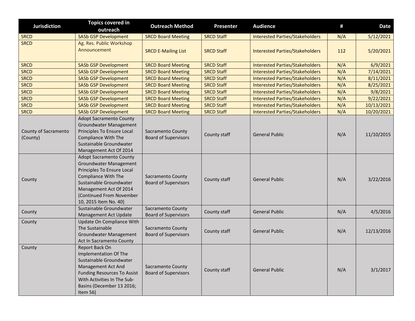| <b>Jurisdiction</b>              | <b>Topics covered in</b><br>outreach                                                                                                                                                                                                  | <b>Outreach Method</b>                           | Presenter         | <b>Audience</b>                        | #   | <b>Date</b> |
|----------------------------------|---------------------------------------------------------------------------------------------------------------------------------------------------------------------------------------------------------------------------------------|--------------------------------------------------|-------------------|----------------------------------------|-----|-------------|
| <b>SRCD</b>                      | <b>SASb GSP Development</b>                                                                                                                                                                                                           | <b>SRCD Board Meeting</b>                        | <b>SRCD Staff</b> | <b>Interested Parties/Stakeholders</b> | N/A | 5/12/2021   |
| <b>SRCD</b>                      | Ag. Res. Public Workshop<br>Announcement                                                                                                                                                                                              | <b>SRCD E-Mailing List</b>                       | <b>SRCD Staff</b> | <b>Interested Parties/Stakeholders</b> | 112 | 5/20/2021   |
| <b>SRCD</b>                      | <b>SASb GSP Development</b>                                                                                                                                                                                                           | <b>SRCD Board Meeting</b>                        | <b>SRCD Staff</b> | <b>Interested Parties/Stakeholders</b> | N/A | 6/9/2021    |
| <b>SRCD</b>                      | <b>SASb GSP Development</b>                                                                                                                                                                                                           | <b>SRCD Board Meeting</b>                        | <b>SRCD Staff</b> | <b>Interested Parties/Stakeholders</b> | N/A | 7/14/2021   |
| <b>SRCD</b>                      | <b>SASb GSP Development</b>                                                                                                                                                                                                           | <b>SRCD Board Meeting</b>                        | <b>SRCD Staff</b> | <b>Interested Parties/Stakeholders</b> | N/A | 8/11/2021   |
| <b>SRCD</b>                      | <b>SASb GSP Development</b>                                                                                                                                                                                                           | <b>SRCD Board Meeting</b>                        | <b>SRCD Staff</b> | <b>Interested Parties/Stakeholders</b> | N/A | 8/25/2021   |
| <b>SRCD</b>                      | <b>SASb GSP Development</b>                                                                                                                                                                                                           | <b>SRCD Board Meeting</b>                        | <b>SRCD Staff</b> | <b>Interested Parties/Stakeholders</b> | N/A | 9/8/2021    |
| <b>SRCD</b>                      | <b>SASb GSP Development</b>                                                                                                                                                                                                           | <b>SRCD Board Meeting</b>                        | <b>SRCD Staff</b> | <b>Interested Parties/Stakeholders</b> | N/A | 9/22/2021   |
| <b>SRCD</b>                      | <b>SASb GSP Development</b>                                                                                                                                                                                                           | <b>SRCD Board Meeting</b>                        | <b>SRCD Staff</b> | <b>Interested Parties/Stakeholders</b> | N/A | 10/13/2021  |
| <b>SRCD</b>                      | <b>SASb GSP Development</b>                                                                                                                                                                                                           | <b>SRCD Board Meeting</b>                        | <b>SRCD Staff</b> | <b>Interested Parties/Stakeholders</b> | N/A | 10/20/2021  |
| County of Sacramento<br>(County) | <b>Adopt Sacramento County</b><br><b>Groundwater Management</b><br>Principles To Ensure Local<br><b>Compliance With The</b><br>Sustainable Groundwater<br>Management Act Of 2014                                                      | Sacramento County<br><b>Board of Supervisors</b> | County staff      | <b>General Public</b>                  | N/A | 11/10/2015  |
| County                           | <b>Adopt Sacramento County</b><br><b>Groundwater Management</b><br>Principles To Ensure Local<br><b>Compliance With The</b><br>Sustainable Groundwater<br>Management Act Of 2014<br>(Continued From November<br>10, 2015 Item No. 40) | Sacramento County<br><b>Board of Supervisors</b> | County staff      | <b>General Public</b>                  | N/A | 3/22/2016   |
| County                           | Sustainable Groundwater<br>Management Act Update                                                                                                                                                                                      | Sacramento County<br><b>Board of Supervisors</b> | County staff      | <b>General Public</b>                  | N/A | 4/5/2016    |
| County                           | Update On Compliance With<br>The Sustainable<br><b>Groundwater Management</b><br>Act In Sacramento County                                                                                                                             | Sacramento County<br><b>Board of Supervisors</b> | County staff      | <b>General Public</b>                  | N/A | 12/13/2016  |
| County                           | Report Back On<br>Implementation Of The<br>Sustainable Groundwater<br>Management Act And<br><b>Funding Resources To Assist</b><br>With Activities In The Sub-<br>Basins (December 13 2016;<br>Item 56)                                | Sacramento County<br><b>Board of Supervisors</b> | County staff      | <b>General Public</b>                  | N/A | 3/1/2017    |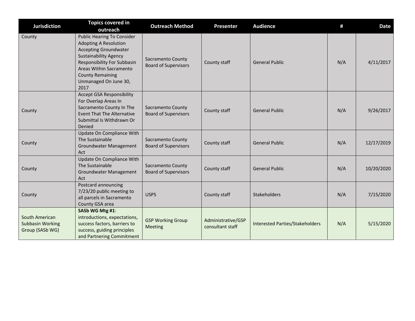| <b>Jurisdiction</b>                                   | <b>Topics covered in</b><br>outreach                                                                                                                                                                                                                    | <b>Outreach Method</b>                           | Presenter                              | <b>Audience</b>                        | #   | <b>Date</b> |
|-------------------------------------------------------|---------------------------------------------------------------------------------------------------------------------------------------------------------------------------------------------------------------------------------------------------------|--------------------------------------------------|----------------------------------------|----------------------------------------|-----|-------------|
| County                                                | <b>Public Hearing To Consider</b><br><b>Adopting A Resolution</b><br><b>Accepting Groundwater</b><br><b>Sustainability Agency</b><br>Responsibility For Subbasin<br>Areas Within Sacramento<br><b>County Remaining</b><br>Unmanaged On June 30,<br>2017 | Sacramento County<br><b>Board of Supervisors</b> | County staff                           | <b>General Public</b>                  | N/A | 4/11/2017   |
| County                                                | <b>Accept GSA Responsibility</b><br>For Overlap Areas In<br>Sacramento County In The<br><b>Event That The Alternative</b><br>Submittal Is Withdrawn Or<br>Denied                                                                                        | Sacramento County<br><b>Board of Supervisors</b> | County staff                           | <b>General Public</b>                  | N/A | 9/26/2017   |
| County                                                | Update On Compliance With<br>The Sustainable<br><b>Groundwater Management</b><br>Act                                                                                                                                                                    | Sacramento County<br><b>Board of Supervisors</b> | County staff                           | <b>General Public</b>                  | N/A | 12/17/2019  |
| County                                                | Update On Compliance With<br>The Sustainable<br>Groundwater Management<br>Act                                                                                                                                                                           | Sacramento County<br><b>Board of Supervisors</b> | County staff                           | <b>General Public</b>                  | N/A | 10/20/2020  |
| County                                                | Postcard announcing<br>7/23/20 public meeting to<br>all parcels in Sacramento<br>County GSA area                                                                                                                                                        | <b>USPS</b>                                      | County staff                           | <b>Stakeholders</b>                    | N/A | 7/15/2020   |
| South American<br>Subbasin Working<br>Group (SASb WG) | SASb WG Mtg #1:<br>introductions, expectations,<br>success factors, barriers to<br>success, guiding principles<br>and Partnering Commitment                                                                                                             | <b>GSP Working Group</b><br><b>Meeting</b>       | Administrative/GSP<br>consultant staff | <b>Interested Parties/Stakeholders</b> | N/A | 5/15/2020   |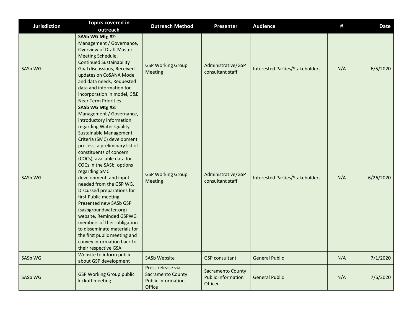| <b>Jurisdiction</b> | <b>Topics covered in</b><br>outreach                                                                                                                                                                                                                                                                                                                                                                                                                                                                                                                                                                                                                      | <b>Outreach Method</b>                                                               | Presenter                                                               | <b>Audience</b>                        | #   | <b>Date</b> |
|---------------------|-----------------------------------------------------------------------------------------------------------------------------------------------------------------------------------------------------------------------------------------------------------------------------------------------------------------------------------------------------------------------------------------------------------------------------------------------------------------------------------------------------------------------------------------------------------------------------------------------------------------------------------------------------------|--------------------------------------------------------------------------------------|-------------------------------------------------------------------------|----------------------------------------|-----|-------------|
| SASb WG             | SASb WG Mtg #2:<br>Management / Governance,<br><b>Overview of Draft Master</b><br>Meeting Schedule,<br><b>Continued Sustainability</b><br>Goal discussions, Received<br>updates on CoSANA Model<br>and data needs, Requested<br>data and information for<br>incorporation in model, C&E<br><b>Near Term Priorities</b>                                                                                                                                                                                                                                                                                                                                    | <b>GSP Working Group</b><br>Meeting                                                  | Administrative/GSP<br>consultant staff                                  | Interested Parties/Stakeholders        | N/A | 6/5/2020    |
| SASb WG             | SASb WG Mtg #3:<br>Management / Governance,<br>introductory information<br>regarding Water Quality<br><b>Sustainable Management</b><br>Criteria (SMC) development<br>process, a preliminary list of<br>constituents of concern<br>(COCs), available data for<br>COCs in the SASb, options<br>regarding SMC<br>development, and input<br>needed from the GSP WG,<br>Discussed preparations for<br>first Public meeting,<br>Presented new SASb GSP<br>(sasbgroundwater.org)<br>website, Reminded GSPWG<br>members of their obligation<br>to disseminate materials for<br>the first public meeting and<br>convey information back to<br>their respective GSA | <b>GSP Working Group</b><br>Meeting                                                  | Administrative/GSP<br>consultant staff                                  | <b>Interested Parties/Stakeholders</b> | N/A | 6/26/2020   |
| SASb WG             | Website to inform public<br>about GSP development                                                                                                                                                                                                                                                                                                                                                                                                                                                                                                                                                                                                         | <b>SASb Website</b>                                                                  | <b>GSP</b> consultant                                                   | <b>General Public</b>                  | N/A | 7/1/2020    |
| SASb WG             | <b>GSP Working Group public</b><br>kickoff meeting                                                                                                                                                                                                                                                                                                                                                                                                                                                                                                                                                                                                        | Press release via<br><b>Sacramento County</b><br><b>Public Information</b><br>Office | <b>Sacramento County</b><br><b>Public Information</b><br><b>Officer</b> | <b>General Public</b>                  | N/A | 7/6/2020    |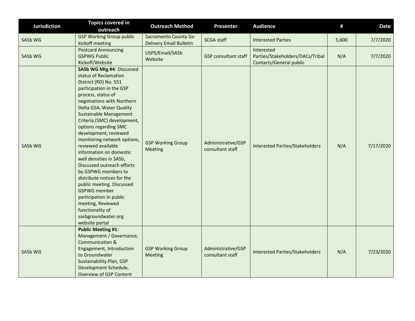| <b>Jurisdiction</b> | <b>Topics covered in</b><br>outreach                                                                                                                                                                                                                                                                                                                                                                                                                                                                                                                                                                                                                                     | <b>Outreach Method</b>                                        | Presenter                              | <b>Audience</b>                                                           | #     | <b>Date</b> |
|---------------------|--------------------------------------------------------------------------------------------------------------------------------------------------------------------------------------------------------------------------------------------------------------------------------------------------------------------------------------------------------------------------------------------------------------------------------------------------------------------------------------------------------------------------------------------------------------------------------------------------------------------------------------------------------------------------|---------------------------------------------------------------|----------------------------------------|---------------------------------------------------------------------------|-------|-------------|
| SASb WG             | <b>GSP Working Group public</b><br>kickoff meeting                                                                                                                                                                                                                                                                                                                                                                                                                                                                                                                                                                                                                       | <b>Sacramento County Go</b><br><b>Delivery Email Bulletin</b> | <b>SCGA staff</b>                      | <b>Interested Parties</b>                                                 | 5,600 | 7/7/2020    |
| SASb WG             | <b>Postcard Announcing</b><br><b>GSPWG Public</b><br>Kickoff/Website                                                                                                                                                                                                                                                                                                                                                                                                                                                                                                                                                                                                     | USPS/Email/SASb<br>Website                                    | <b>GSP</b> consultant staff            | Interested<br>Parties/Stakeholders/DACs/Tribal<br>Contacts/General public | N/A   | 7/7/2020    |
| SASb WG             | SASb WG Mtg #4: Discussed<br>status of Reclamation<br>District (RD) No. 551<br>participation in the GSP<br>process, status of<br>negotiations with Northern<br>Delta GSA, Water Quality<br><b>Sustainable Management</b><br>Criteria (SMC) development,<br>options regarding SMC<br>development, reviewed<br>monitoring network options,<br>reviewed available<br>information on domestic<br>well densities in SASb,<br>Discussed outreach efforts<br>by GSPWG members to<br>distribute notices for the<br>public meeting. Discussed<br><b>GSPWG</b> member<br>participation in public<br>meeting, Reviewed<br>functionality of<br>sasbgroundwater.org<br>website portal | <b>GSP Working Group</b><br>Meeting                           | Administrative/GSP<br>consultant staff | <b>Interested Parties/Stakeholders</b>                                    | N/A   | 7/17/2020   |
| SASb WG             | <b>Public Meeting #1:</b><br>Management / Governance,<br>Communication &<br>Engagement, Introduction<br>to Groundwater<br>Sustainability Plan, GSP<br>Development Schedule,<br><b>Overview of GSP Content</b>                                                                                                                                                                                                                                                                                                                                                                                                                                                            | <b>GSP Working Group</b><br>Meeting                           | Administrative/GSP<br>consultant staff | <b>Interested Parties/Stakeholders</b>                                    | N/A   | 7/23/2020   |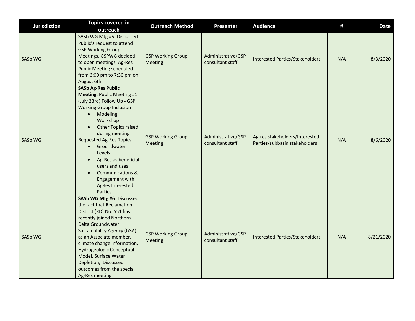| <b>Jurisdiction</b> | <b>Topics covered in</b><br>outreach                                                                                                                                                                                                                                                                                                                                                                  | <b>Outreach Method</b>              | Presenter                              | <b>Audience</b>                                                 | #   | <b>Date</b> |
|---------------------|-------------------------------------------------------------------------------------------------------------------------------------------------------------------------------------------------------------------------------------------------------------------------------------------------------------------------------------------------------------------------------------------------------|-------------------------------------|----------------------------------------|-----------------------------------------------------------------|-----|-------------|
| SASb WG             | SASb WG Mtg #5: Discussed<br>Public's request to attend<br><b>GSP Working Group</b><br>Meetings, GSPWG decided<br>to open meetings, Ag-Res<br><b>Public Meeting scheduled</b><br>from 6:00 pm to 7:30 pm on<br>August 6th                                                                                                                                                                             | <b>GSP Working Group</b><br>Meeting | Administrative/GSP<br>consultant staff | <b>Interested Parties/Stakeholders</b>                          | N/A | 8/3/2020    |
| SASb WG             | <b>SASb Ag-Res Public</b><br>Meeting: Public Meeting #1<br>(July 23rd) Follow Up - GSP<br><b>Working Group Inclusion</b><br>Modeling<br>$\bullet$<br>Workshop<br>Other Topics raised<br>during meeting<br><b>Requested Ag-Res Topics</b><br>Groundwater<br>$\bullet$<br>Levels<br>Ag-Res as beneficial<br>users and uses<br>Communications &<br>Engagement with<br>AgRes Interested<br><b>Parties</b> | <b>GSP Working Group</b><br>Meeting | Administrative/GSP<br>consultant staff | Ag-res stakeholders/Interested<br>Parties/subbasin stakeholders | N/A | 8/6/2020    |
| SASb WG             | SASb WG Mtg #6: Discussed<br>the fact that Reclamation<br>District (RD) No. 551 has<br>recently joined Northern<br>Delta Groundwater<br><b>Sustainability Agency (GSA)</b><br>as an Associate member,<br>climate change information,<br><b>Hydrogeologic Conceptual</b><br>Model, Surface Water<br>Depletion, Discussed<br>outcomes from the special<br>Ag-Res meeting                                | <b>GSP Working Group</b><br>Meeting | Administrative/GSP<br>consultant staff | <b>Interested Parties/Stakeholders</b>                          | N/A | 8/21/2020   |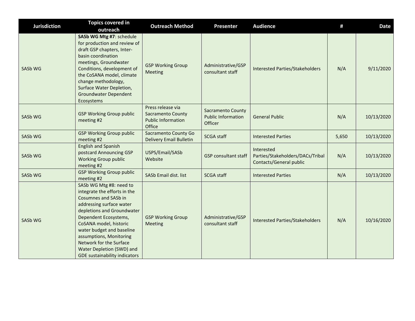| <b>Jurisdiction</b> | <b>Topics covered in</b><br>outreach                                                                                                                                                                                                                                                                                                                 | <b>Outreach Method</b>                                                               | Presenter                                                        | <b>Audience</b>                                                           | #     | <b>Date</b> |
|---------------------|------------------------------------------------------------------------------------------------------------------------------------------------------------------------------------------------------------------------------------------------------------------------------------------------------------------------------------------------------|--------------------------------------------------------------------------------------|------------------------------------------------------------------|---------------------------------------------------------------------------|-------|-------------|
| SASb WG             | SASb WG Mtg #7: schedule<br>for production and review of<br>draft GSP chapters, Inter-<br>basin coordination<br>meetings, Groundwater<br>Conditions, development of<br>the CoSANA model, climate<br>change methodology,<br>Surface Water Depletion,<br><b>Groundwater Dependent</b><br>Ecosystems                                                    | <b>GSP Working Group</b><br>Meeting                                                  | Administrative/GSP<br>consultant staff                           | <b>Interested Parties/Stakeholders</b>                                    | N/A   | 9/11/2020   |
| SASb WG             | <b>GSP Working Group public</b><br>meeting #2                                                                                                                                                                                                                                                                                                        | Press release via<br><b>Sacramento County</b><br><b>Public Information</b><br>Office | <b>Sacramento County</b><br><b>Public Information</b><br>Officer | <b>General Public</b>                                                     | N/A   | 10/13/2020  |
| SASb WG             | <b>GSP Working Group public</b><br>meeting #2                                                                                                                                                                                                                                                                                                        | <b>Sacramento County Go</b><br><b>Delivery Email Bulletin</b>                        | <b>SCGA staff</b>                                                | <b>Interested Parties</b>                                                 | 5,650 | 10/13/2020  |
| SASb WG             | <b>English and Spanish</b><br>postcard Announcing GSP<br><b>Working Group public</b><br>meeting #2                                                                                                                                                                                                                                                   | USPS/Email/SASb<br>Website                                                           | <b>GSP</b> consultant staff                                      | Interested<br>Parties/Stakeholders/DACs/Tribal<br>Contacts/General public | N/A   | 10/13/2020  |
| SASb WG             | <b>GSP Working Group public</b><br>meeting #2                                                                                                                                                                                                                                                                                                        | SASb Email dist. list                                                                | <b>SCGA staff</b>                                                | <b>Interested Parties</b>                                                 | N/A   | 10/13/2020  |
| SASb WG             | SASb WG Mtg #8: need to<br>integrate the efforts in the<br>Cosumnes and SASb in<br>addressing surface water<br>depletions and Groundwater<br>Dependent Ecosystems,<br>CoSANA model, historic<br>water budget and baseline<br>assumptions, Monitoring<br>Network for the Surface<br>Water Depletion (SWD) and<br><b>GDE sustainability indicators</b> | <b>GSP Working Group</b><br>Meeting                                                  | Administrative/GSP<br>consultant staff                           | <b>Interested Parties/Stakeholders</b>                                    | N/A   | 10/16/2020  |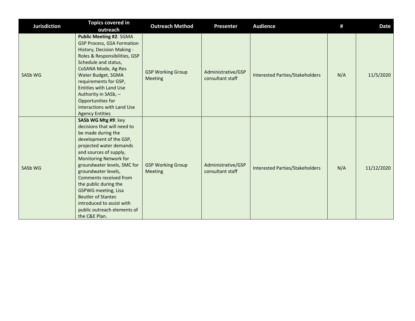| <b>Jurisdiction</b> | <b>Topics covered in</b><br>outreach                                                                                                                                                                                                                                                                                                                                                                                                       | <b>Outreach Method</b>                     | Presenter                              | <b>Audience</b>                        |     | <b>Date</b> |
|---------------------|--------------------------------------------------------------------------------------------------------------------------------------------------------------------------------------------------------------------------------------------------------------------------------------------------------------------------------------------------------------------------------------------------------------------------------------------|--------------------------------------------|----------------------------------------|----------------------------------------|-----|-------------|
| SASb WG             | <b>Public Meeting #2: SGMA</b><br><b>GSP Process, GSA Formation</b><br>History, Decision Making -<br>Roles & Responsibilities, GSP<br>Schedule and status,<br>CoSANA Mode, Ag-Res<br>Water Budget, SGMA<br>requirements for GSP,<br><b>Entities with Land Use</b><br>Authority in SASb, -<br>Opportunities for<br><b>Interactions with Land Use</b><br><b>Agency Entities</b>                                                              | <b>GSP Working Group</b><br>Meeting        | Administrative/GSP<br>consultant staff | <b>Interested Parties/Stakeholders</b> | N/A | 11/5/2020   |
| SASb WG             | SASb WG Mtg #9: key<br>decisions that will need to<br>be made during the<br>development of the GSP,<br>projected water demands<br>and sources of supply,<br><b>Monitoring Network for</b><br>groundwater levels, SMC for<br>groundwater levels,<br>Comments received from<br>the public during the<br><b>GSPWG</b> meeting, Lisa<br><b>Beutler of Stantec</b><br>introduced to assist with<br>public outreach elements of<br>the C&E Plan. | <b>GSP Working Group</b><br><b>Meeting</b> | Administrative/GSP<br>consultant staff | <b>Interested Parties/Stakeholders</b> | N/A | 11/12/2020  |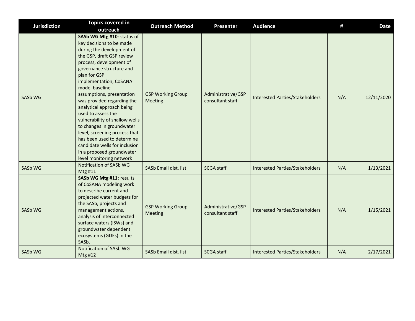| <b>Jurisdiction</b> | <b>Topics covered in</b><br>outreach                                                                                                                                                                                                                                                                                                                                                                                                                                                                                                                                      | <b>Outreach Method</b>                     | Presenter                              | <b>Audience</b>                        | #   | <b>Date</b> |
|---------------------|---------------------------------------------------------------------------------------------------------------------------------------------------------------------------------------------------------------------------------------------------------------------------------------------------------------------------------------------------------------------------------------------------------------------------------------------------------------------------------------------------------------------------------------------------------------------------|--------------------------------------------|----------------------------------------|----------------------------------------|-----|-------------|
| SASb WG             | SASb WG Mtg #10: status of<br>key decisions to be made<br>during the development of<br>the GSP, draft GSP review<br>process, development of<br>governance structure and<br>plan for GSP<br>implementation, CoSANA<br>model baseline<br>assumptions, presentation<br>was provided regarding the<br>analytical approach being<br>used to assess the<br>vulnerability of shallow wells<br>to changes in groundwater<br>level, screening process that<br>has been used to determine<br>candidate wells for inclusion<br>in a proposed groundwater<br>level monitoring network | <b>GSP Working Group</b><br><b>Meeting</b> | Administrative/GSP<br>consultant staff | <b>Interested Parties/Stakeholders</b> | N/A | 12/11/2020  |
| SASb WG             | Notification of SASb WG<br>Mtg #11                                                                                                                                                                                                                                                                                                                                                                                                                                                                                                                                        | SASb Email dist. list                      | <b>SCGA staff</b>                      | <b>Interested Parties/Stakeholders</b> | N/A | 1/13/2021   |
| SASb WG             | SASb WG Mtg #11: results<br>of CoSANA modeling work<br>to describe current and<br>projected water budgets for<br>the SASb, projects and<br>management actions,<br>analysis of interconnected<br>surface waters (ISWs) and<br>groundwater dependent<br>ecosystems (GDEs) in the<br>SASb.                                                                                                                                                                                                                                                                                   | <b>GSP Working Group</b><br>Meeting        | Administrative/GSP<br>consultant staff | <b>Interested Parties/Stakeholders</b> | N/A | 1/15/2021   |
| SASb WG             | Notification of SASb WG<br>Mtg #12                                                                                                                                                                                                                                                                                                                                                                                                                                                                                                                                        | SASb Email dist. list                      | <b>SCGA staff</b>                      | <b>Interested Parties/Stakeholders</b> | N/A | 2/17/2021   |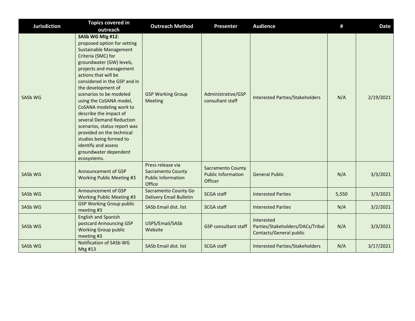| <b>Jurisdiction</b> | <b>Topics covered in</b><br>outreach                                                                                                                                                                                                                                                                                                                                                                                                                                                                                               | <b>Outreach Method</b>                                                               | Presenter                                                        | <b>Audience</b>                                                           | #     | <b>Date</b> |
|---------------------|------------------------------------------------------------------------------------------------------------------------------------------------------------------------------------------------------------------------------------------------------------------------------------------------------------------------------------------------------------------------------------------------------------------------------------------------------------------------------------------------------------------------------------|--------------------------------------------------------------------------------------|------------------------------------------------------------------|---------------------------------------------------------------------------|-------|-------------|
| SASb WG             | SASb WG Mtg #12:<br>proposed option for setting<br>Sustainable Management<br>Criteria (SMC) for<br>groundwater (GW) levels,<br>projects and management<br>actions that will be<br>considered in the GSP and in<br>the development of<br>scenarios to be modeled<br>using the CoSANA model,<br>CoSANA modeling work to<br>describe the impact of<br>several Demand Reduction<br>scenarios, status report was<br>provided on the technical<br>studies being formed to<br>identify and assess<br>groundwater dependent<br>ecosystems. | <b>GSP Working Group</b><br>Meeting                                                  | Administrative/GSP<br>consultant staff                           | <b>Interested Parties/Stakeholders</b>                                    | N/A   | 2/19/2021   |
| SASb WG             | Announcement of GSP<br><b>Working Public Meeting #3</b>                                                                                                                                                                                                                                                                                                                                                                                                                                                                            | Press release via<br><b>Sacramento County</b><br><b>Public Information</b><br>Office | <b>Sacramento County</b><br><b>Public Information</b><br>Officer | <b>General Public</b>                                                     | N/A   | 3/3/2021    |
| SASb WG             | Announcement of GSP<br><b>Working Public Meeting #3</b>                                                                                                                                                                                                                                                                                                                                                                                                                                                                            | <b>Sacramento County Go</b><br><b>Delivery Email Bulletin</b>                        | <b>SCGA staff</b>                                                | <b>Interested Parties</b>                                                 | 5,550 | 3/3/2021    |
| SASb WG             | <b>GSP Working Group public</b><br>meeting #3                                                                                                                                                                                                                                                                                                                                                                                                                                                                                      | SASb Email dist. list                                                                | <b>SCGA staff</b>                                                | <b>Interested Parties</b>                                                 | N/A   | 3/2/2021    |
| SASb WG             | <b>English and Spanish</b><br>postcard Announcing GSP<br><b>Working Group public</b><br>meeting #3                                                                                                                                                                                                                                                                                                                                                                                                                                 | USPS/Email/SASb<br>Website                                                           | <b>GSP</b> consultant staff                                      | Interested<br>Parties/Stakeholders/DACs/Tribal<br>Contacts/General public | N/A   | 3/3/2021    |
| SASb WG             | Notification of SASb WG<br>Mtg #13                                                                                                                                                                                                                                                                                                                                                                                                                                                                                                 | SASb Email dist. list                                                                | <b>SCGA staff</b>                                                | <b>Interested Parties/Stakeholders</b>                                    | N/A   | 3/17/2021   |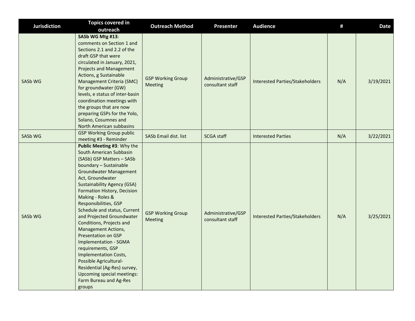| <b>Jurisdiction</b> | <b>Topics covered in</b><br>outreach                                                                                                                                                                                                                                                                                                                                                                                                                                                                                                                                                                                                               | <b>Outreach Method</b>              | Presenter                              | <b>Audience</b>                        | #   | <b>Date</b> |
|---------------------|----------------------------------------------------------------------------------------------------------------------------------------------------------------------------------------------------------------------------------------------------------------------------------------------------------------------------------------------------------------------------------------------------------------------------------------------------------------------------------------------------------------------------------------------------------------------------------------------------------------------------------------------------|-------------------------------------|----------------------------------------|----------------------------------------|-----|-------------|
| SASb WG             | SASb WG Mtg #13:<br>comments on Section 1 and<br>Sections 2.1 and 2.2 of the<br>draft GSP that were<br>circulated in January, 2021,<br><b>Projects and Management</b><br>Actions, g Sustainable<br>Management Criteria (SMC)<br>for groundwater (GW)<br>levels, e status of inter-basin<br>coordination meetings with<br>the groups that are now<br>preparing GSPs for the Yolo,<br>Solano, Cosumnes and<br>North American subbasins                                                                                                                                                                                                               | <b>GSP Working Group</b><br>Meeting | Administrative/GSP<br>consultant staff | <b>Interested Parties/Stakeholders</b> | N/A | 3/19/2021   |
| SASb WG             | <b>GSP Working Group public</b><br>meeting #3 - Reminder                                                                                                                                                                                                                                                                                                                                                                                                                                                                                                                                                                                           | SASb Email dist. list               | <b>SCGA staff</b>                      | <b>Interested Parties</b>              | N/A | 3/22/2021   |
| SASb WG             | Public Meeting #3: Why the<br>South American Subbasin<br>(SASb) GSP Matters - SASb<br>boundary - Sustainable<br><b>Groundwater Management</b><br>Act, Groundwater<br><b>Sustainability Agency (GSA)</b><br>Formation History, Decision<br>Making - Roles &<br>Responsibilities, GSP<br>Schedule and status, Current<br>and Projected Groundwater<br>Conditions, Projects and<br><b>Management Actions,</b><br><b>Presentation on GSP</b><br>Implementation - SGMA<br>requirements, GSP<br>Implementation Costs,<br>Possible Agricultural-<br>Residential (Ag-Res) survey,<br><b>Upcoming special meetings:</b><br>Farm Bureau and Ag-Res<br>groups | <b>GSP Working Group</b><br>Meeting | Administrative/GSP<br>consultant staff | <b>Interested Parties/Stakeholders</b> | N/A | 3/25/2021   |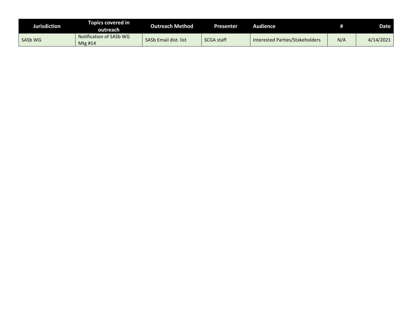| Jurisdiction | <b>Topics covered in</b><br>outreach | <b>Outreach Method</b> | Presenter         | Audience                        |     | <b>Date</b> |
|--------------|--------------------------------------|------------------------|-------------------|---------------------------------|-----|-------------|
| SASb WG      | Notification of SASb WG<br>Mtg #14   | SASb Email dist. list  | <b>SCGA staff</b> | Interested Parties/Stakeholders | N/A | 4/14/2021   |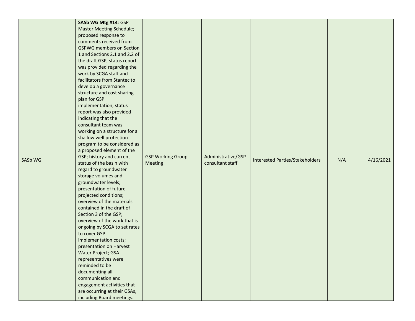|         | SASb WG Mtg #14: GSP<br><b>Master Meeting Schedule;</b><br>proposed response to<br>comments received from<br><b>GSPWG</b> members on Section<br>1 and Sections 2.1 and 2.2 of<br>the draft GSP, status report<br>was provided regarding the<br>work by SCGA staff and<br>facilitators from Stantec to<br>develop a governance<br>structure and cost sharing<br>plan for GSP<br>implementation, status                                                                                                                                                                                                                                 |                                     |                                        |                                        |     |           |
|---------|---------------------------------------------------------------------------------------------------------------------------------------------------------------------------------------------------------------------------------------------------------------------------------------------------------------------------------------------------------------------------------------------------------------------------------------------------------------------------------------------------------------------------------------------------------------------------------------------------------------------------------------|-------------------------------------|----------------------------------------|----------------------------------------|-----|-----------|
| SASb WG | a proposed element of the<br>GSP; history and current<br>status of the basin with<br>regard to groundwater<br>storage volumes and<br>groundwater levels;<br>presentation of future<br>projected conditions;<br>overview of the materials<br>contained in the draft of<br>Section 3 of the GSP;<br>overview of the work that is<br>ongoing by SCGA to set rates<br>to cover GSP<br>implementation costs;<br>presentation on Harvest<br>Water Project; GSA<br>representatives were<br>reminded to be<br>documenting all<br>communication and<br>engagement activities that<br>are occurring at their GSAs,<br>including Board meetings. | <b>GSP Working Group</b><br>Meeting | Administrative/GSP<br>consultant staff | <b>Interested Parties/Stakeholders</b> | N/A | 4/16/2021 |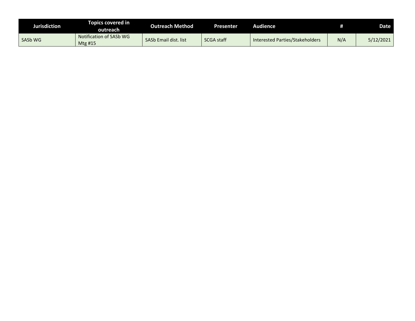| Jurisdiction | Topics covered in \<br>outreach      | <b>Outreach Method</b> | Presenter         | Audience                        |          | Date      |
|--------------|--------------------------------------|------------------------|-------------------|---------------------------------|----------|-----------|
| SASb WG      | Notification of SASb WG<br>Mtg $#15$ | SASb Email dist. list  | <b>SCGA staff</b> | Interested Parties/Stakeholders | $N/\rho$ | 5/12/2021 |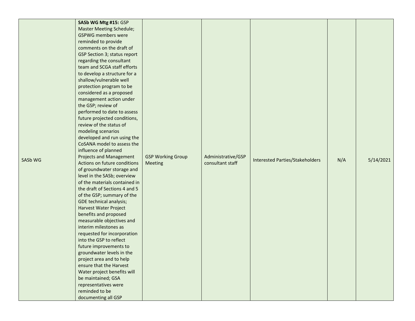| SASb WG | SASb WG Mtg #15: GSP<br><b>Master Meeting Schedule;</b><br><b>GSPWG</b> members were<br>reminded to provide<br>comments on the draft of<br>GSP Section 3; status report<br>regarding the consultant<br>team and SCGA staff efforts<br>to develop a structure for a<br>shallow/vulnerable well<br>protection program to be<br>considered as a proposed<br>management action under<br>the GSP; review of<br>performed to date to assess<br>future projected conditions,<br>review of the status of<br>modeling scenarios<br>developed and run using the<br>CoSANA model to assess the<br>influence of planned<br><b>Projects and Management</b><br>Actions on future conditions<br>of groundwater storage and<br>level in the SASb; overview<br>of the materials contained in<br>the draft of Sections 4 and 5<br>of the GSP; summary of the<br><b>GDE technical analysis;</b><br><b>Harvest Water Project</b><br>benefits and proposed<br>measurable objectives and<br>interim milestones as<br>requested for incorporation<br>into the GSP to reflect<br>future improvements to<br>groundwater levels in the | <b>GSP Working Group</b><br>Meeting | Administrative/GSP<br>consultant staff | <b>Interested Parties/Stakeholders</b> | N/A | 5/14/2021 |
|---------|--------------------------------------------------------------------------------------------------------------------------------------------------------------------------------------------------------------------------------------------------------------------------------------------------------------------------------------------------------------------------------------------------------------------------------------------------------------------------------------------------------------------------------------------------------------------------------------------------------------------------------------------------------------------------------------------------------------------------------------------------------------------------------------------------------------------------------------------------------------------------------------------------------------------------------------------------------------------------------------------------------------------------------------------------------------------------------------------------------------|-------------------------------------|----------------------------------------|----------------------------------------|-----|-----------|
|         | project area and to help<br>ensure that the Harvest<br>Water project benefits will<br>be maintained; GSA<br>representatives were<br>reminded to be<br>documenting all GSP                                                                                                                                                                                                                                                                                                                                                                                                                                                                                                                                                                                                                                                                                                                                                                                                                                                                                                                                    |                                     |                                        |                                        |     |           |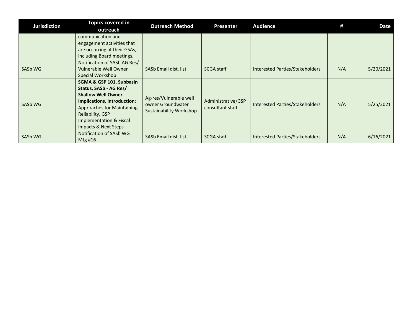| <b>Jurisdiction</b> | <b>Topics covered in</b><br>outreach | <b>Outreach Method</b>         | <b>Presenter</b>   | <b>Audience</b>                        | #   | Date      |
|---------------------|--------------------------------------|--------------------------------|--------------------|----------------------------------------|-----|-----------|
|                     | communication and                    |                                |                    |                                        |     |           |
|                     | engagement activities that           |                                |                    |                                        |     |           |
|                     | are occurring at their GSAs,         |                                |                    |                                        |     |           |
|                     | including Board meetings.            |                                |                    |                                        |     |           |
| SASb WG             | Notification of SASb AG Res/         |                                |                    |                                        |     |           |
|                     | Vulnerable Well Owner                | SASb Email dist. list          | SCGA staff         | <b>Interested Parties/Stakeholders</b> | N/A | 5/20/2021 |
|                     | Special Workshop                     |                                |                    |                                        |     |           |
|                     | SGMA & GSP 101, Subbasin             |                                |                    |                                        |     |           |
|                     | Status, SASb - AG Res/               |                                |                    |                                        |     |           |
|                     | <b>Shallow Well Owner</b>            | Ag-res/Vulnerable well         |                    |                                        |     | 5/25/2021 |
| SASb WG             | Implications, Introduction:          | owner Groundwater              | Administrative/GSP | Interested Parties/Stakeholders        | N/A |           |
|                     | <b>Approaches for Maintaining</b>    | <b>Sustainability Workshop</b> | consultant staff   |                                        |     |           |
|                     | Reliability, GSP                     |                                |                    |                                        |     |           |
|                     | Implementation & Fiscal              |                                |                    |                                        |     |           |
|                     | Impacts & Next Steps                 |                                |                    |                                        |     |           |
| SASb WG             | Notification of SASb WG              | SASb Email dist. list          | SCGA staff         | Interested Parties/Stakeholders        | N/A | 6/16/2021 |
|                     | Mtg #16                              |                                |                    |                                        |     |           |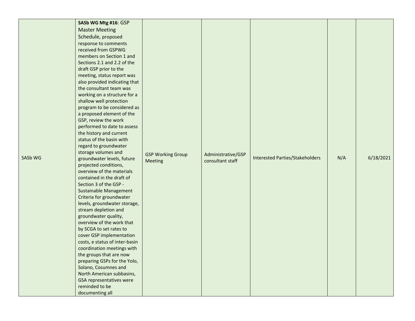|         | SASb WG Mtg #16: GSP                                       |                          |                    |                                        |     |           |
|---------|------------------------------------------------------------|--------------------------|--------------------|----------------------------------------|-----|-----------|
|         | <b>Master Meeting</b>                                      |                          |                    |                                        |     |           |
|         | Schedule, proposed                                         |                          |                    |                                        |     |           |
|         | response to comments                                       |                          |                    |                                        |     |           |
|         | received from GSPWG                                        |                          |                    |                                        |     |           |
|         | members on Section 1 and                                   |                          |                    |                                        |     |           |
|         | Sections 2.1 and 2.2 of the                                |                          |                    |                                        |     |           |
|         | draft GSP prior to the                                     |                          |                    |                                        |     |           |
|         | meeting, status report was                                 |                          |                    |                                        |     |           |
|         | also provided indicating that                              |                          |                    |                                        |     |           |
|         | the consultant team was                                    |                          |                    |                                        |     |           |
|         | working on a structure for a                               |                          |                    |                                        |     |           |
|         | shallow well protection                                    |                          |                    |                                        |     |           |
|         | program to be considered as                                |                          |                    |                                        |     |           |
|         | a proposed element of the                                  |                          |                    |                                        |     |           |
|         | GSP, review the work                                       |                          |                    |                                        |     |           |
|         | performed to date to assess                                |                          |                    |                                        |     |           |
|         | the history and current                                    | <b>GSP Working Group</b> |                    |                                        |     |           |
|         | status of the basin with                                   |                          |                    |                                        |     |           |
|         | regard to groundwater                                      |                          |                    |                                        |     |           |
|         | storage volumes and                                        |                          | Administrative/GSP |                                        |     |           |
| SASb WG | groundwater levels, future                                 | Meeting                  | consultant staff   | <b>Interested Parties/Stakeholders</b> | N/A | 6/18/2021 |
|         | projected conditions,                                      |                          |                    |                                        |     |           |
|         | overview of the materials                                  |                          |                    |                                        |     |           |
|         | contained in the draft of                                  |                          |                    |                                        |     |           |
|         | Section 3 of the GSP -                                     |                          |                    |                                        |     |           |
|         | <b>Sustainable Management</b>                              |                          |                    |                                        |     |           |
|         | Criteria for groundwater                                   |                          |                    |                                        |     |           |
|         | levels, groundwater storage,                               |                          |                    |                                        |     |           |
|         | stream depletion and                                       |                          |                    |                                        |     |           |
|         | groundwater quality,<br>overview of the work that          |                          |                    |                                        |     |           |
|         | by SCGA to set rates to                                    |                          |                    |                                        |     |           |
|         |                                                            |                          |                    |                                        |     |           |
|         | cover GSP implementation<br>costs, e status of inter-basin |                          |                    |                                        |     |           |
|         | coordination meetings with                                 |                          |                    |                                        |     |           |
|         | the groups that are now                                    |                          |                    |                                        |     |           |
|         | preparing GSPs for the Yolo,                               |                          |                    |                                        |     |           |
|         | Solano, Cosumnes and                                       |                          |                    |                                        |     |           |
|         | North American subbasins,                                  |                          |                    |                                        |     |           |
|         | GSA representatives were                                   |                          |                    |                                        |     |           |
|         | reminded to be                                             |                          |                    |                                        |     |           |
|         | documenting all                                            |                          |                    |                                        |     |           |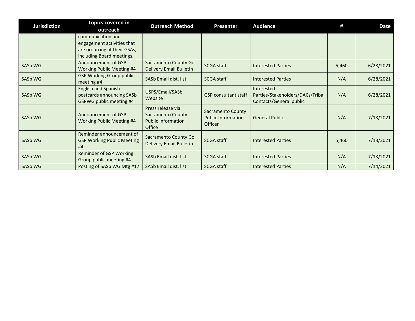| <b>Jurisdiction</b> | <b>Topics covered in</b><br>outreach                                               | <b>Outreach Method</b>                                                               | Presenter                                                        | <b>Audience</b>                                                           | #     | Date      |
|---------------------|------------------------------------------------------------------------------------|--------------------------------------------------------------------------------------|------------------------------------------------------------------|---------------------------------------------------------------------------|-------|-----------|
|                     | communication and<br>engagement activities that<br>are occurring at their GSAs,    |                                                                                      |                                                                  |                                                                           |       |           |
|                     | including Board meetings.                                                          |                                                                                      |                                                                  |                                                                           |       |           |
| SASb WG             | Announcement of GSP<br>Working Public Meeting #4                                   | Sacramento County Go<br>Delivery Email Bulletin                                      | <b>SCGA staff</b>                                                | <b>Interested Parties</b>                                                 | 5,460 | 6/28/2021 |
| SASb WG             | <b>GSP Working Group public</b><br>meeting #4                                      | SASb Email dist. list                                                                | <b>SCGA staff</b>                                                | <b>Interested Parties</b>                                                 | N/A   | 6/28/2021 |
| SASb WG             | <b>English and Spanish</b><br>postcards announcing SASb<br>GSPWG public meeting #4 | USPS/Email/SASb<br>Website                                                           | <b>GSP consultant staff</b>                                      | Interested<br>Parties/Stakeholders/DACs/Tribal<br>Contacts/General public | N/A   | 6/28/2021 |
| SASb WG             | Announcement of GSP<br>Working Public Meeting #4                                   | Press release via<br><b>Sacramento County</b><br><b>Public Information</b><br>Office | Sacramento County<br><b>Public Information</b><br><b>Officer</b> | <b>General Public</b>                                                     | N/A   | 7/13/2021 |
| SASb WG             | Reminder announcement of<br><b>GSP Working Public Meeting</b><br>#4                | <b>Sacramento County Go</b><br><b>Delivery Email Bulletin</b>                        | <b>SCGA staff</b>                                                | <b>Interested Parties</b>                                                 | 5,460 | 7/13/2021 |
| SASb WG             | <b>Reminder of GSP Working</b><br>Group public meeting #4                          | SASb Email dist. list                                                                | <b>SCGA staff</b>                                                | <b>Interested Parties</b>                                                 | N/A   | 7/13/2021 |
| SASb WG             | Posting of SASb WG Mtg #17                                                         | SASb Email dist. list                                                                | <b>SCGA staff</b>                                                | <b>Interested Parties</b>                                                 | N/A   | 7/14/2021 |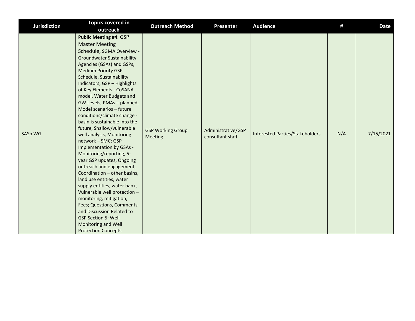| <b>Jurisdiction</b> | <b>Topics covered in</b><br>outreach                                                                                                                                                                                                                                                                                                                                                                                                                                                                                                                                                                                                                                                                                                                                                                                                                                                                                                     | <b>Outreach Method</b>              | Presenter                              | <b>Audience</b>                        | Ħ   | <b>Date</b> |
|---------------------|------------------------------------------------------------------------------------------------------------------------------------------------------------------------------------------------------------------------------------------------------------------------------------------------------------------------------------------------------------------------------------------------------------------------------------------------------------------------------------------------------------------------------------------------------------------------------------------------------------------------------------------------------------------------------------------------------------------------------------------------------------------------------------------------------------------------------------------------------------------------------------------------------------------------------------------|-------------------------------------|----------------------------------------|----------------------------------------|-----|-------------|
| SASb WG             | <b>Public Meeting #4: GSP</b><br><b>Master Meeting</b><br>Schedule, SGMA Overview -<br><b>Groundwater Sustainability</b><br>Agencies (GSAs) and GSPs,<br><b>Medium Priority GSP</b><br>Schedule, Sustainability<br>Indicators; GSP - Highlights<br>of Key Elements - CoSANA<br>model, Water Budgets and<br>GW Levels, PMAs - planned,<br>Model scenarios - future<br>conditions/climate change -<br>basin is sustainable into the<br>future, Shallow/vulnerable<br>well analysis, Monitoring<br>network - SMC; GSP<br>Implementation by GSAs -<br>Monitoring/reporting, 5-<br>year GSP updates, Ongoing<br>outreach and engagement,<br>Coordination - other basins,<br>land use entities, water<br>supply entities, water bank,<br>Vulnerable well protection -<br>monitoring, mitigation,<br>Fees; Questions, Comments<br>and Discussion Related to<br><b>GSP Section 5; Well</b><br>Monitoring and Well<br><b>Protection Concepts.</b> | <b>GSP Working Group</b><br>Meeting | Administrative/GSP<br>consultant staff | <b>Interested Parties/Stakeholders</b> | N/A | 7/15/2021   |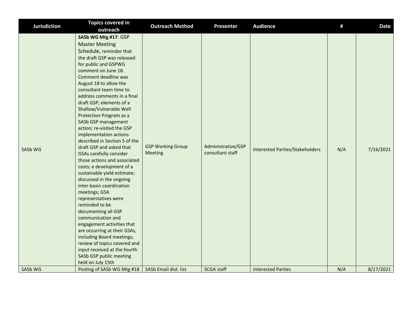| <b>Jurisdiction</b> | <b>Topics covered in</b><br>outreach                                                                                                                                                                                                                                                                                                                                                                                                                                                                                                                                                                                                                                                                                                                                                                                                                                                                                                                                                                    | <b>Outreach Method</b>              | Presenter                              | <b>Audience</b>                        | #   | Date      |
|---------------------|---------------------------------------------------------------------------------------------------------------------------------------------------------------------------------------------------------------------------------------------------------------------------------------------------------------------------------------------------------------------------------------------------------------------------------------------------------------------------------------------------------------------------------------------------------------------------------------------------------------------------------------------------------------------------------------------------------------------------------------------------------------------------------------------------------------------------------------------------------------------------------------------------------------------------------------------------------------------------------------------------------|-------------------------------------|----------------------------------------|----------------------------------------|-----|-----------|
| SASb WG             | SASb WG Mtg #17: GSP<br><b>Master Meeting</b><br>Schedule, reminder that<br>the draft GSP was released<br>for public and GSPWG<br>comment on June 18.<br>Comment deadline was<br>August 18 to allow the<br>consultant team time to<br>address comments in a final<br>draft GSP; elements of a<br>Shallow/Vulnerable Well<br>Protection Program as a<br>SASb GSP management<br>action; re-visited the GSP<br>implementation actions<br>described in Section 5 of the<br>draft GSP and asked that<br><b>GSAs carefully consider</b><br>those actions and associated<br>costs; e development of a<br>sustainable yield estimate;<br>discussed in the ongoing<br>inter-basin coordination<br>meetings; GSA<br>representatives were<br>reminded to be<br>documenting all GSP<br>communication and<br>engagement activities that<br>are occurring at their GSAs,<br>including Board meetings;<br>review of topics covered and<br>input received at the fourth<br>SASb GSP public meeting<br>held on July 15th | <b>GSP Working Group</b><br>Meeting | Administrative/GSP<br>consultant staff | <b>Interested Parties/Stakeholders</b> | N/A | 7/16/2021 |
| SASb WG             | Posting of SASb WG Mtg #18                                                                                                                                                                                                                                                                                                                                                                                                                                                                                                                                                                                                                                                                                                                                                                                                                                                                                                                                                                              | SASb Email dist. list               | <b>SCGA staff</b>                      | <b>Interested Parties</b>              | N/A | 8/17/2021 |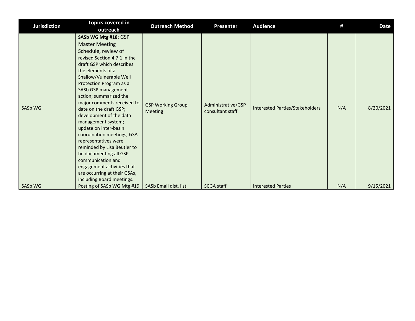| <b>Jurisdiction</b> | <b>Topics covered in</b><br>outreach                                                                                                                                                                                                                                                                                                                                                                                                                                                                                                                                                                                           | <b>Outreach Method</b>                     | Presenter                              | <b>Audience</b>                        | Ħ   | <b>Date</b> |
|---------------------|--------------------------------------------------------------------------------------------------------------------------------------------------------------------------------------------------------------------------------------------------------------------------------------------------------------------------------------------------------------------------------------------------------------------------------------------------------------------------------------------------------------------------------------------------------------------------------------------------------------------------------|--------------------------------------------|----------------------------------------|----------------------------------------|-----|-------------|
| SASb WG             | SASb WG Mtg #18: GSP<br><b>Master Meeting</b><br>Schedule, review of<br>revised Section 4.7.1 in the<br>draft GSP which describes<br>the elements of a<br>Shallow/Vulnerable Well<br>Protection Program as a<br>SASb GSP management<br>action; summarized the<br>major comments received to<br>date on the draft GSP;<br>development of the data<br>management system;<br>update on inter-basin<br>coordination meetings; GSA<br>representatives were<br>reminded by Lisa Beutler to<br>be documenting all GSP<br>communication and<br>engagement activities that<br>are occurring at their GSAs,<br>including Board meetings. | <b>GSP Working Group</b><br><b>Meeting</b> | Administrative/GSP<br>consultant staff | <b>Interested Parties/Stakeholders</b> | N/A | 8/20/2021   |
| SASb WG             | Posting of SASb WG Mtg #19                                                                                                                                                                                                                                                                                                                                                                                                                                                                                                                                                                                                     | SASb Email dist. list                      | <b>SCGA staff</b>                      | <b>Interested Parties</b>              | N/A | 9/15/2021   |